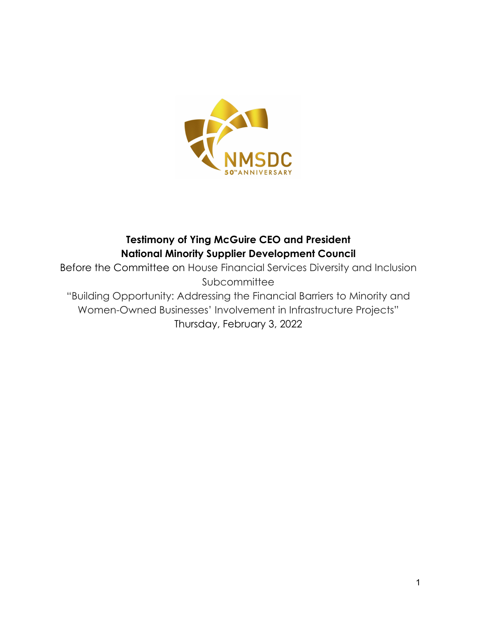

## **Testimony of Ying McGuire CEO and President National Minority Supplier Development Council**

Before the Committee on House Financial Services Diversity and Inclusion Subcommittee "Building Opportunity: Addressing the Financial Barriers to Minority and Women-Owned Businesses' Involvement in Infrastructure Projects" Thursday, February 3, 2022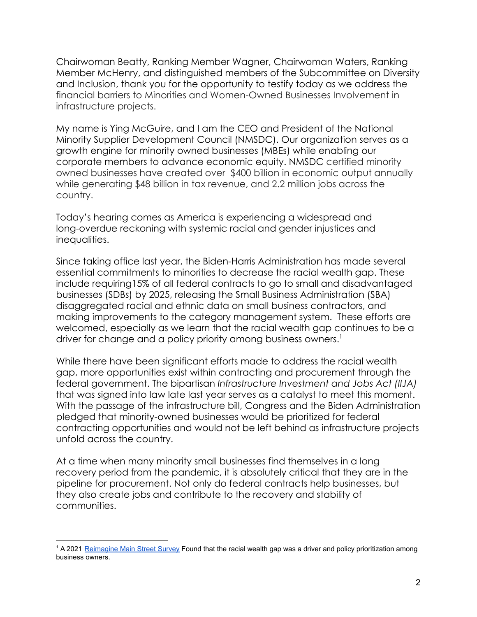Chairwoman Beatty, Ranking Member Wagner, Chairwoman Waters, Ranking Member McHenry, and distinguished members of the Subcommittee on Diversity and Inclusion, thank you for the opportunity to testify today as we address the financial barriers to Minorities and Women-Owned Businesses Involvement in infrastructure projects.

My name is Ying McGuire, and I am the CEO and President of the National Minority Supplier Development Council (NMSDC). Our organization serves as a growth engine for minority owned businesses (MBEs) while enabling our corporate members to advance economic equity. NMSDC certified minority owned businesses have created over \$400 billion in economic output annually while generating \$48 billion in tax revenue, and 2.2 million jobs across the country.

Today's hearing comes as America is experiencing a widespread and long-overdue reckoning with systemic racial and gender injustices and inequalities.

Since taking office last year, the Biden-Harris Administration has made several essential commitments to minorities to decrease the racial wealth gap. These include requiring15% of all federal contracts to go to small and disadvantaged businesses (SDBs) by 2025, releasing the Small Business Administration (SBA) disaggregated racial and ethnic data on small business contractors, and making improvements to the category management system. These efforts are welcomed, especially as we learn that the racial wealth gap continues to be a driver for change and a policy priority among business owners.<sup>1</sup>

While there have been significant efforts made to address the racial wealth gap, more opportunities exist within contracting and procurement through the federal government. The bipartisan *Infrastructure Investment and Jobs Act (IIJA)* that was signed into law late last year serves as a catalyst to meet this moment. With the passage of the infrastructure bill, Congress and the Biden Administration pledged that minority-owned businesses would be prioritized for federal contracting opportunities and would not be left behind as infrastructure projects unfold across the country.

At a time when many minority small businesses find themselves in a long recovery period from the pandemic, it is absolutely critical that they are in the pipeline for procurement. Not only do federal contracts help businesses, but they also create jobs and contribute to the recovery and stability of communities.

<sup>&</sup>lt;sup>1</sup> A 2021 [Reimagine Main Street Survey](https://irp-cdn.multiscreensite.com/d59a11d2/files/uploaded/January%202021%20RMS%20Poll%20vSHARE_RgG9ODt6RpyePAG0dlDo.pdf) Found that the racial wealth gap was a driver and policy prioritization among business owners.